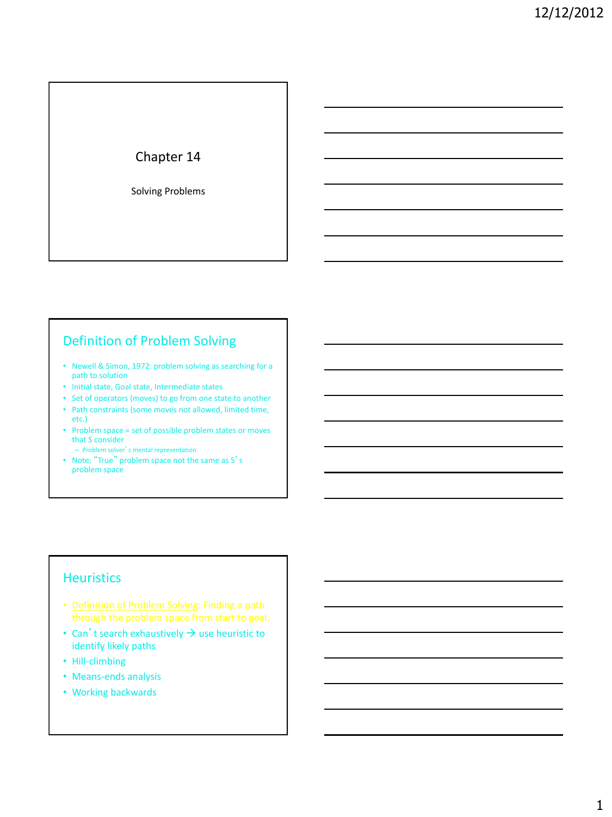# Chapter 14

Solving Problems

# Definition of Problem Solving

- Newell & Simon, 1972: problem solving as searching for a path to solution
- Initial state, Goal state, Intermediate states
- Set of operators (moves) to go from one state to another
- Path constraints (some moves not allowed, limited time, etc.)
- Problem space = set of possible problem states or moves that S consider
	- Problem solver's mental representation
- Note: "True" problem space not the same as S's problem space

#### **Heuristics**

- Definition of Problem Solving: Finding a path
- Can't search exhaustively  $\rightarrow$  use heuristic to identify likely paths
- Hill-climbing
- Means-ends analysis
- Working backwards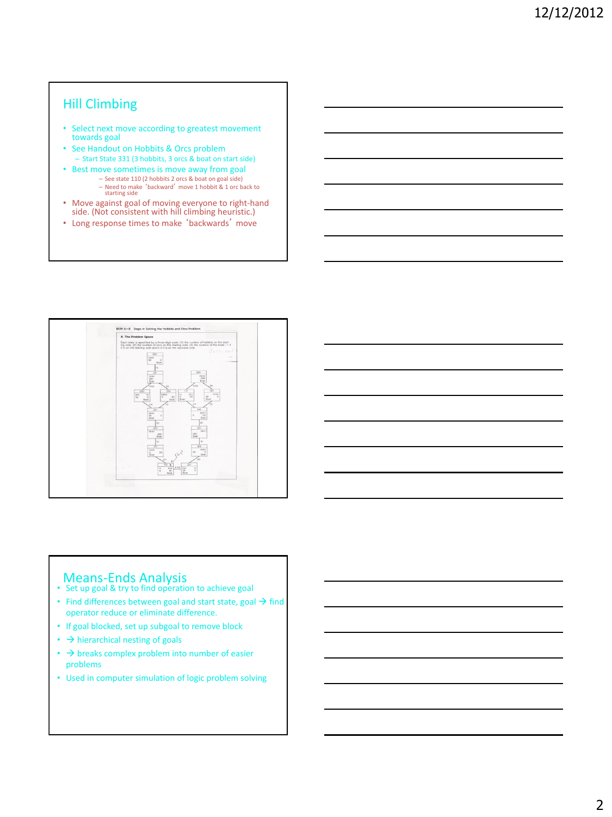# Hill Climbing

- Select next move according to greatest movement towards goal
- See Handout on Hobbits & Orcs problem – Start State 331 (3 hobbits, 3 orcs & boat on start side)
- Best move sometimes is move away from goal – See state 110 (2 hobbits 2 orcs & boat on goal side)
	- Need to make 'backward' move 1 hobbit & 1 orc back to starting side
- Move against goal of moving everyone to right-hand side. (Not consistent with hill climbing heuristic.)
- Long response times to make 'backwards' move



# **Means-Ends Analysis**<br>• Set up goal & try to find operation to achieve goal

- 
- Find differences between goal and start state, goal  $\rightarrow$  find operator reduce or eliminate difference.
- If goal blocked, set up subgoal to remove block
- $\cdot$   $\rightarrow$  hierarchical nesting of goals
- $\cdot$   $\rightarrow$  breaks complex problem into number of easier problems
- Used in computer simulation of logic problem solving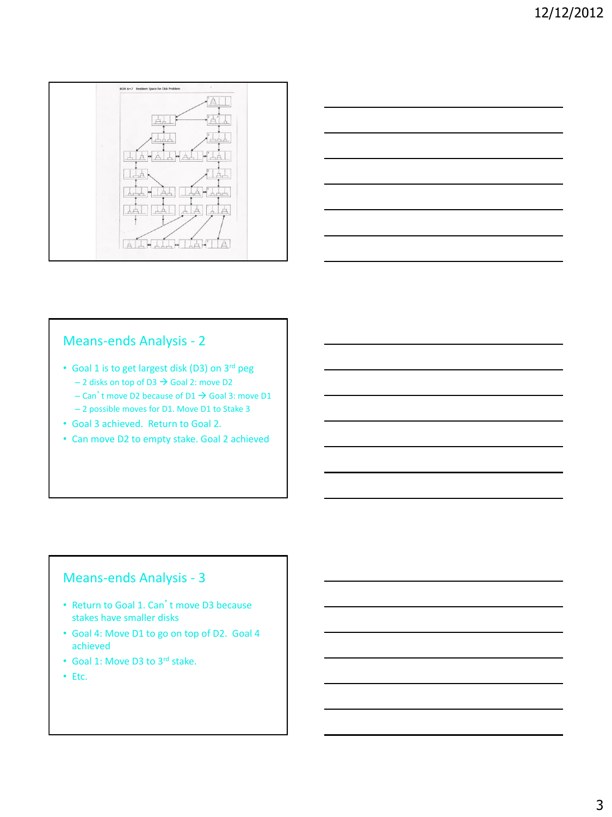



#### Means-ends Analysis - 2

- Goal 1 is to get largest disk (D3) on 3rd peg  $-$  2 disks on top of D3  $\rightarrow$  Goal 2: move D2
	- Can't move D2 because of D1  $\rightarrow$  Goal 3: move D1 – 2 possible moves for D1. Move D1 to Stake 3
- Goal 3 achieved. Return to Goal 2.
- Can move D2 to empty stake. Goal 2 achieved

# Means-ends Analysis - 3

- Return to Goal 1. Can't move D3 because stakes have smaller disks
- Goal 4: Move D1 to go on top of D2. Goal 4 achieved
- Goal 1: Move D3 to 3rd stake.
- Etc.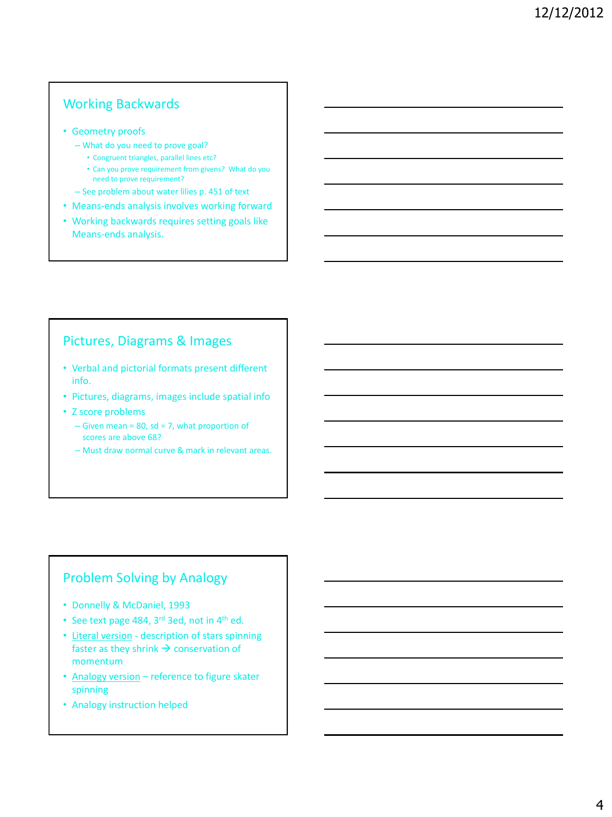# Working Backwards

- Geometry proofs
	- What do you need to prove goal?
		- Congruent triangles, parallel lines etc?
		- Can you prove requirement from givens? What do you need to prove requirement?
	- See problem about water lilies p. 451 of text
- Means-ends analysis involves working forward
- Working backwards requires setting goals like Means-ends analysis.

### Pictures, Diagrams & Images

- Verbal and pictorial formats present different info.
- Pictures, diagrams, images include spatial info
- Z score problems
	- $-$  Given mean = 80, sd = 7, what proportion of scores are above 68?
	- Must draw normal curve & mark in relevant areas.

### Problem Solving by Analogy

- Donnelly & McDaniel, 1993
- See text page 484, 3<sup>rd</sup> 3ed, not in 4<sup>th</sup> ed.
- Literal version description of stars spinning faster as they shrink  $\rightarrow$  conservation of momentum
- Analogy version reference to figure skater spinning
- Analogy instruction helped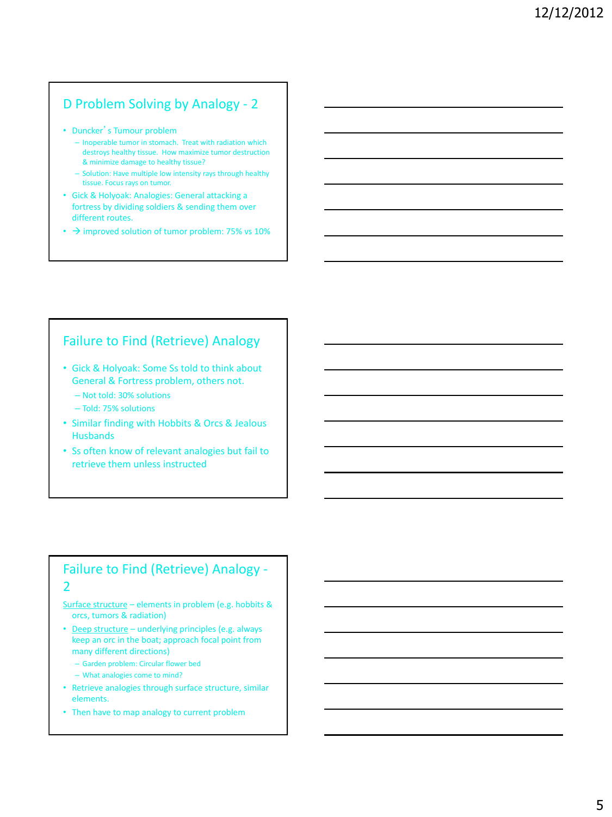# D Problem Solving by Analogy - 2

- Duncker's Tumour problem
	- Inoperable tumor in stomach. Treat with radiation which destroys healthy tissue. How maximize tumor destruction & minimize damage to healthy tissue?
	- Solution: Have multiple low intensity rays through healthy tissue. Focus rays on tumor.
- Gick & Holyoak: Analogies: General attacking a fortress by dividing soldiers & sending them over different routes.
- $\cdot$   $\rightarrow$  improved solution of tumor problem: 75% vs 10%

#### Failure to Find (Retrieve) Analogy

- Gick & Holyoak: Some Ss told to think about General & Fortress problem, others not.
	- Not told: 30% solutions
	- Told: 75% solutions
- Similar finding with Hobbits & Orcs & Jealous **Husbands**
- Ss often know of relevant analogies but fail to retrieve them unless instructed

# Failure to Find (Retrieve) Analogy - 2

Surface structure - elements in problem (e.g. hobbits & orcs, tumors & radiation)

- Deep structure underlying principles (e.g. always keep an orc in the boat; approach focal point from many different directions)
	- Garden problem: Circular flower bed
	- What analogies come to mind?
- Retrieve analogies through surface structure, similar elements.
- Then have to map analogy to current problem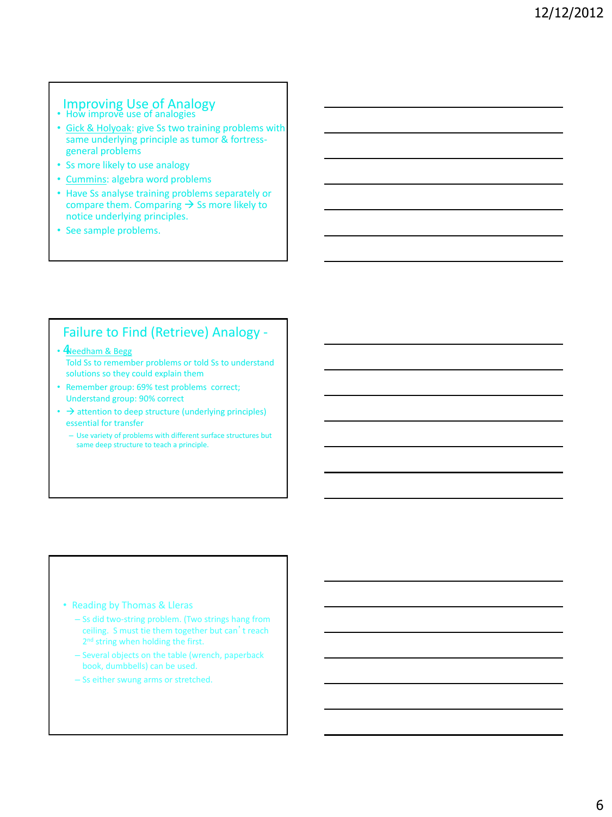# Improving Use of Analogy<br>• How improve use of analogies

- Gick & Holyoak: give Ss two training problems with same underlying principle as tumor & fortressgeneral problems
- Ss more likely to use analogy
- Cummins: algebra word problems
- Have Ss analyse training problems separately or compare them. Comparing  $\rightarrow$  Ss more likely to notice underlying principles.
- See sample problems.

#### Failure to Find (Retrieve) Analogy -

- **4** Reedham & Begg Told Ss to remember problems or told Ss to understand solutions so they could explain them
- Remember group: 69% test problems correct; Understand group: 90% correct
- $\rightarrow$  attention to deep structure (underlying principles) essential for transfer
	- Use variety of problems with different surface structures but same deep structure to teach a principle.

#### • Reading by Thomas & Lleras

- Ss did two-string problem. (Two strings hang from ceiling. S must tie them together but can't reach 2<sup>nd</sup> string when holding the first.
- Several objects on the table (wrench, paperback book, dumbbells) can be used.
- Ss either swung arms or stretched.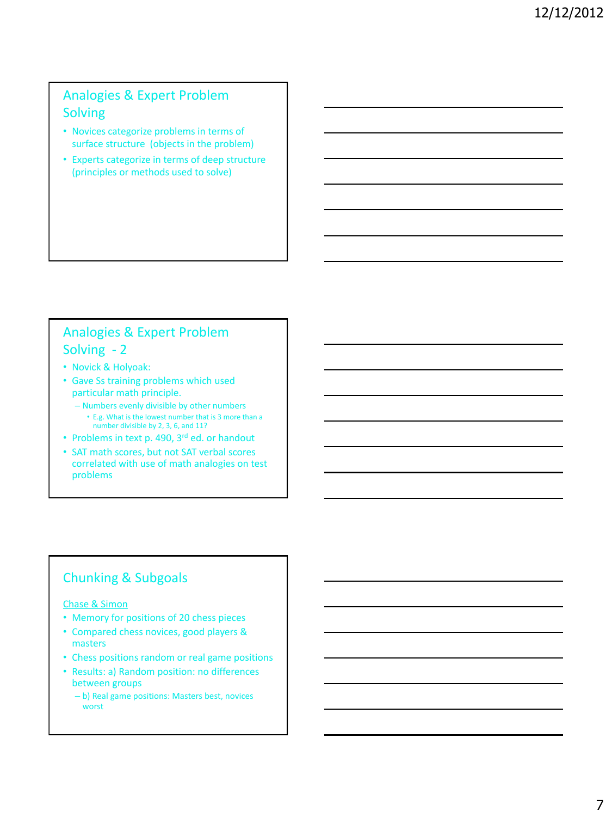# Analogies & Expert Problem Solving

- Novices categorize problems in terms of surface structure (objects in the problem)
- Experts categorize in terms of deep structure (principles or methods used to solve)

# Analogies & Expert Problem Solving - 2

- Novick & Holyoak:
- Gave Ss training problems which used particular math principle.
	- Numbers evenly divisible by other numbers
		- E.g. What is the lowest number that is 3 more than a number divisible by 2, 3, 6, and 11?
- Problems in text p. 490, 3<sup>rd</sup> ed. or handout
- SAT math scores, but not SAT verbal scores correlated with use of math analogies on test problems

# Chunking & Subgoals

#### Chase & Simon

- Memory for positions of 20 chess pieces
- Compared chess novices, good players & masters
- Chess positions random or real game positions
- Results: a) Random position: no differences between groups
	- b) Real game positions: Masters best, novices worst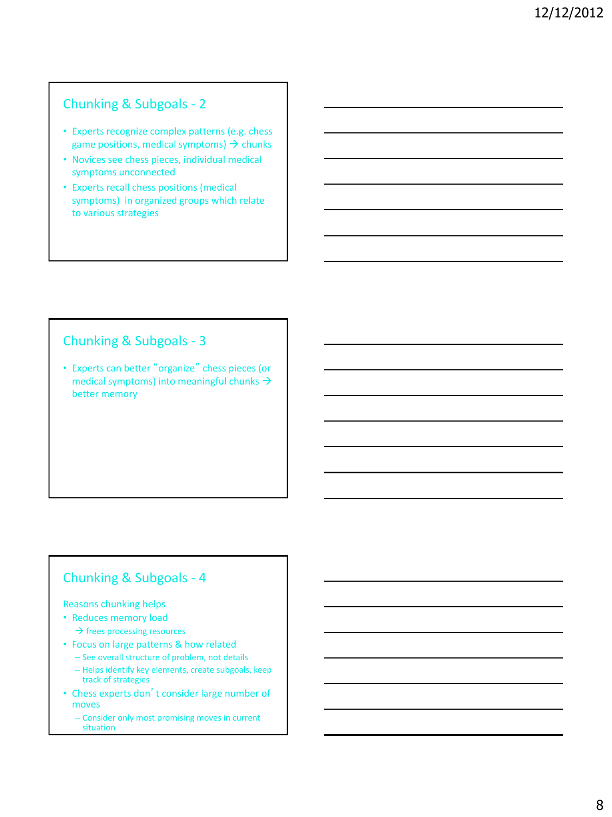# Chunking & Subgoals - 2

- Experts recognize complex patterns (e.g. chess game positions, medical symptoms)  $\rightarrow$  chunks
- Novices see chess pieces, individual medical symptoms unconnected
- Experts recall chess positions (medical symptoms) in organized groups which relate to various strategies

### Chunking & Subgoals - 3

• Experts can better "organize" chess pieces (or medical symptoms) into meaningful chunks  $\rightarrow$ better memory

# Chunking & Subgoals - 4

#### Reasons chunking helps

- Reduces memory load  $\rightarrow$  frees processing resources
- Focus on large patterns & how related
	- See overall structure of problem, not details
	- Helps identify key elements, create subgoals, keep track of strategies
- Chess experts don't consider large number of moves
	- Consider only most promising moves in current situation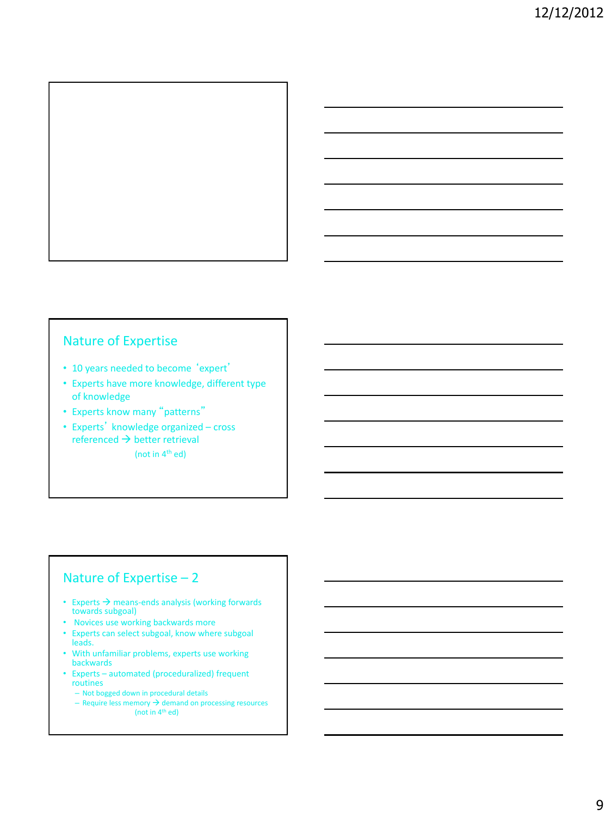

### Nature of Expertise

- 10 years needed to become 'expert'
- Experts have more knowledge, different type of knowledge
- Experts know many "patterns"
- Experts' knowledge organized cross  $referenced \rightarrow better retrieval$ (not in  $4<sup>th</sup>$  ed)

# Nature of Expertise – 2

- Experts  $\rightarrow$  means-ends analysis (working forwards towards subgoal)
- Novices use working backwards more
- Experts can select subgoal, know where subgoal leads.
- With unfamiliar problems, experts use working backwards
- Experts automated (proceduralized) frequent routines
	- Not bogged down in procedural details
	- $-$  Require less memory  $\rightarrow$  demand on processing resources (not in  $4<sup>th</sup>$  ed)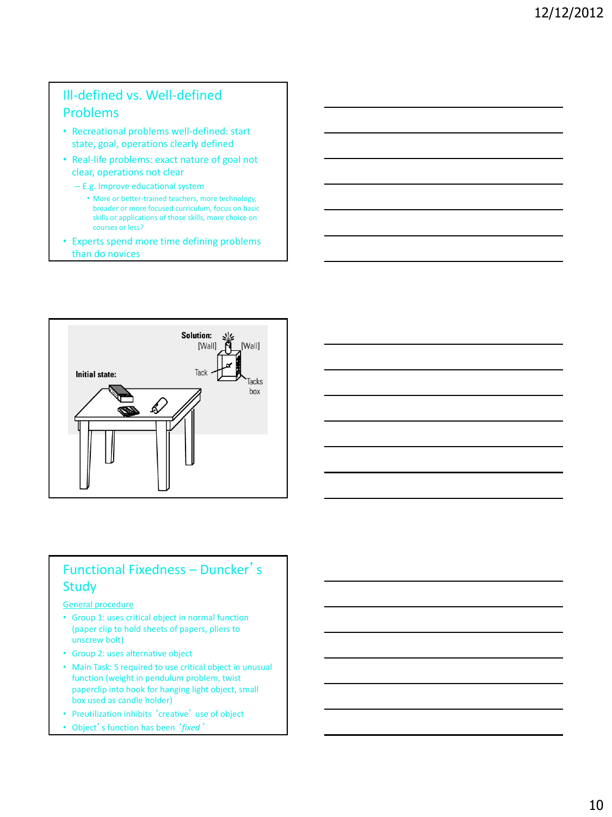# Ill-defined vs. Well-defined Problems

- Recreational problems well-defined: start state, goal, operations clearly defined
- Real-life problems: exact nature of goal not clear, operations not clear
	- E.g. Improve educational system
		- More or better-trained teachers, more technology, broader or more focused curriculum, focus on basic skills or applications of those skills, more choice on courses or less?
- Experts spend more time defining problems than do novices





# Functional Fixedness – Duncker's **Study**

#### General procedure

- Group 1: uses critical object in normal function (paper clip to hold sheets of papers, pliers to unscrew bolt)
- Group 2: uses alternative object
- Main Task: S required to use critical object in unusual function (weight in pendulum problem, twist paperclip into hook for hanging light object, small box used as candle holder)
- Preutilization inhibits 'creative' use of object
- Object's function has been '*fixed*'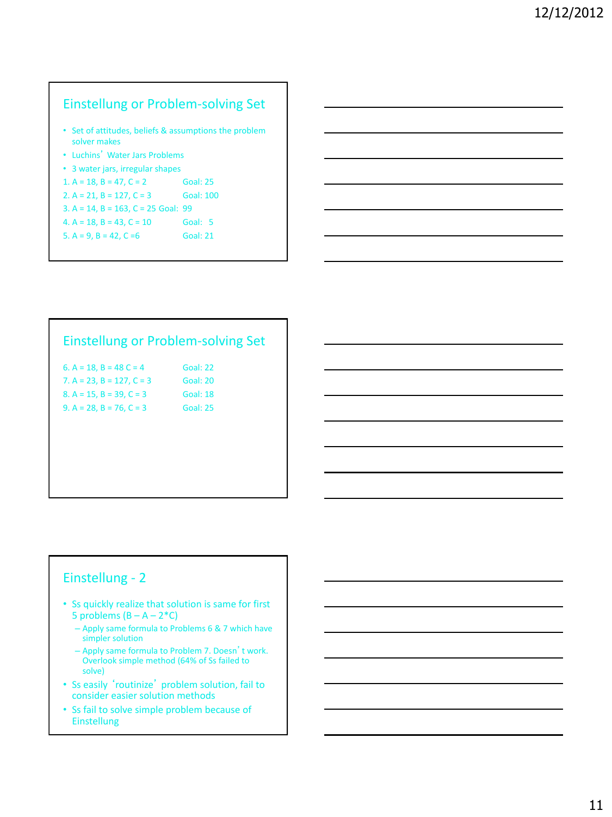# Einstellung or Problem-solving Set

- Set of attitudes, beliefs & assumptions the problem solver makes
- Luchins' Water Jars Problems
- 3 water jars, irregular shapes

| 1. A = 18, B = 47, C = 2              | <b>Goal: 25</b>  |
|---------------------------------------|------------------|
| 2. $A = 21$ , $B = 127$ , $C = 3$     | <b>Goal: 100</b> |
| $3. A = 14, B = 163, C = 25$ Goal: 99 |                  |
| 4. $A = 18$ . $B = 43$ . $C = 10$     | Goal: 5          |

5.  $A = 9$ ,  $B = 42$ ,  $C = 6$  Goal: 21

### Einstellung or Problem-solving Set

Goal: 22 Goal: 20 Goal: 18 Goal: 25

| 6. A = 18, B = 48 C = 4          |  |
|----------------------------------|--|
| 7. A = 23, B = 127, C = 3        |  |
| 8. A = $15$ , B = $39$ , C = $3$ |  |
| $9. A = 28, B = 76, C = 3$       |  |

# Einstellung - 2

- Ss quickly realize that solution is same for first 5 problems  $(B - A - 2*C)$ 
	- Apply same formula to Problems 6 & 7 which have simpler solution
	- Apply same formula to Problem 7. Doesn't work. Overlook simple method (64% of Ss failed to solve)
- Ss easily 'routinize' problem solution, fail to consider easier solution methods
- Ss fail to solve simple problem because of Einstellung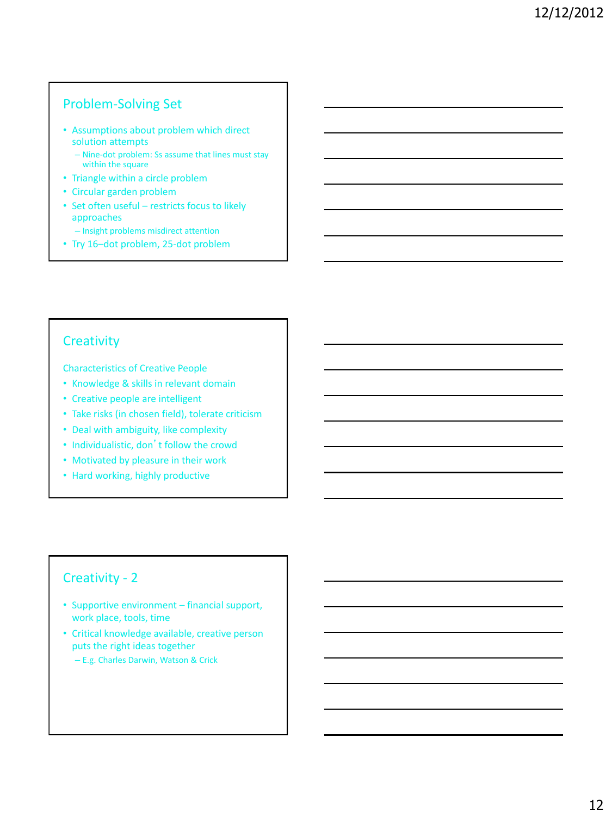### Problem-Solving Set

- Assumptions about problem which direct solution attempts
	- Nine-dot problem: Ss assume that lines must stay within the square
- Triangle within a circle problem
- Circular garden problem
- Set often useful restricts focus to likely approaches
	- Insight problems misdirect attention
- Try 16–dot problem, 25-dot problem

#### **Creativity**

Characteristics of Creative People

- Knowledge & skills in relevant domain
- Creative people are intelligent
- Take risks (in chosen field), tolerate criticism
- Deal with ambiguity, like complexity
- Individualistic, don't follow the crowd
- Motivated by pleasure in their work
- Hard working, highly productive

#### Creativity - 2

- Supportive environment financial support, work place, tools, time
- Critical knowledge available, creative person puts the right ideas together
	- E.g. Charles Darwin, Watson & Crick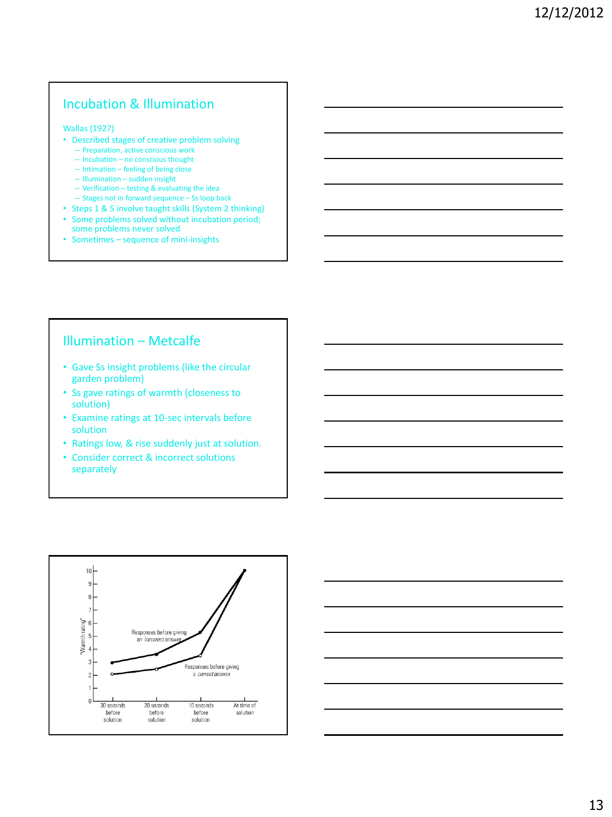# Incubation & Illumination

#### Wallas (1927)

- Described stages of creative problem solving
	- Preparation, active conscious work
	- Incubation no conscious thought – Intimation – feeling of being close
	- Illumination sudden insight
	- Verification testing & evaluating the idea
	- Stages not in forward sequence Ss loop back
- Steps 1 & 5 involve taught skills (System 2 thinking)
- Some problems solved without incubation period; some problems never solved
- Sometimes sequence of mini-insights

#### Illumination – Metcalfe

- Gave Ss insight problems (like the circular garden problem)
- Ss gave ratings of warmth (closeness to solution)
- Examine ratings at 10-sec intervals before solution
- Ratings low, & rise suddenly just at solution.
- Consider correct & incorrect solutions separately



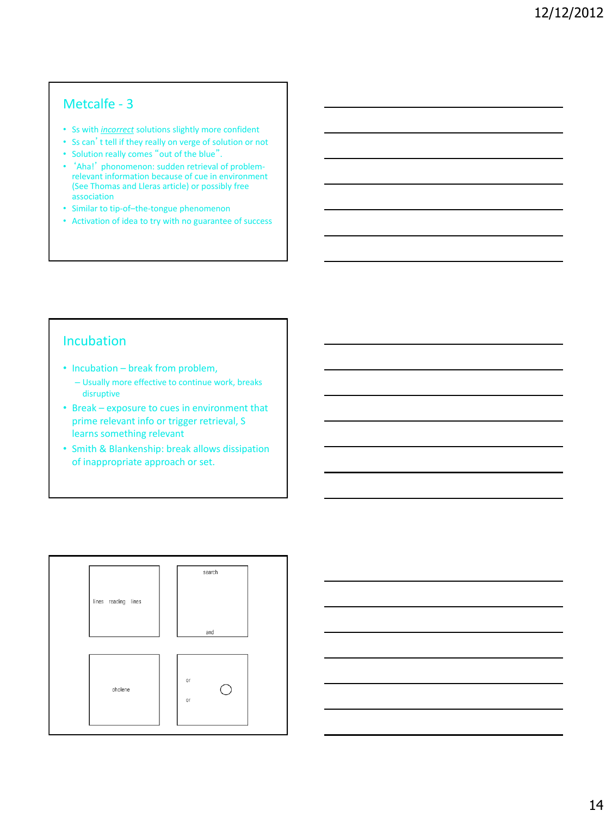# Metcalfe - 3

- Ss with *incorrect* solutions slightly more confident
- Ss can't tell if they really on verge of solution or not
- Solution really comes "out of the blue".
- 'Aha!' phonomenon: sudden retrieval of problemrelevant information because of cue in environment (See Thomas and Lleras article) or possibly free association
- Similar to tip-of–the-tongue phenomenon
- Activation of idea to try with no guarantee of success

#### Incubation

- Incubation break from problem,
	- Usually more effective to continue work, breaks disruptive
- Break exposure to cues in environment that prime relevant info or trigger retrieval, S learns something relevant
- Smith & Blankenship: break allows dissipation of inappropriate approach or set.



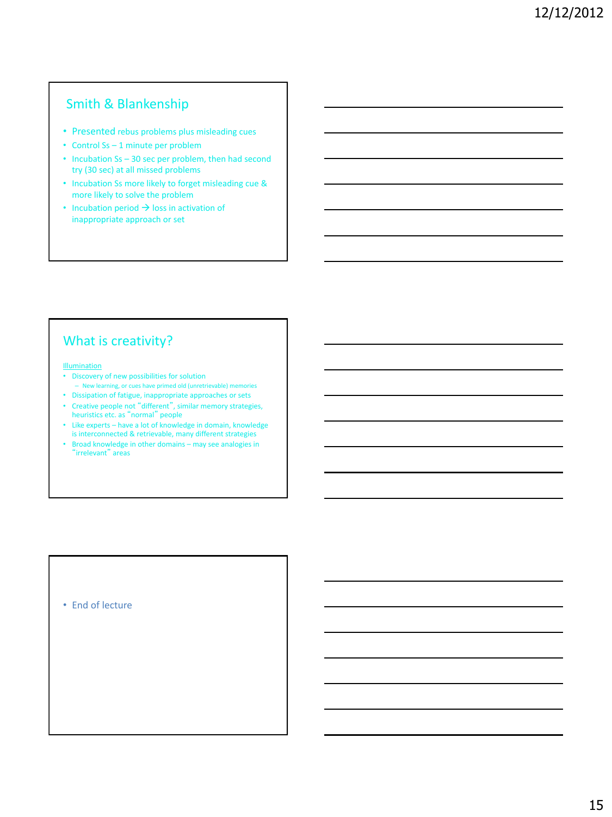# Smith & Blankenship

- Presented rebus problems plus misleading cues
- Control Ss 1 minute per problem
- Incubation Ss 30 sec per problem, then had second try (30 sec) at all missed problems
- Incubation Ss more likely to forget misleading cue & more likely to solve the problem
- Incubation period  $\rightarrow$  loss in activation of inappropriate approach or set

# What is creativity?

#### Illumination

- Discovery of new possibilities for solution – New learning, or cues have primed old (unretrievable) memories
- Dissipation of fatigue, inappropriate approaches or sets
- Creative people not "different", similar memory strategies, heuristics etc. as "normal" people
- Like experts have a lot of knowledge in domain, knowledge is interconnected & retrievable, many different strategies
- Broad knowledge in other domains may see analogies in "irrelevant" areas

• End of lecture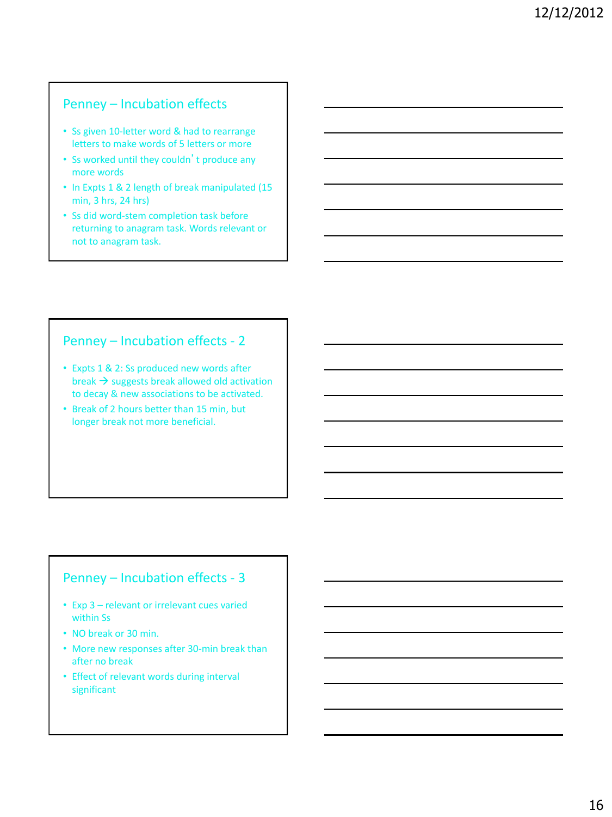### Penney – Incubation effects

- Ss given 10-letter word & had to rearrange letters to make words of 5 letters or more
- Ss worked until they couldn't produce any more words
- In Expts 1 & 2 length of break manipulated (15 min, 3 hrs, 24 hrs)
- Ss did word-stem completion task before returning to anagram task. Words relevant or not to anagram task.

# Penney – Incubation effects - 2

- Expts 1 & 2: Ss produced new words after break  $\rightarrow$  suggests break allowed old activation to decay & new associations to be activated.
- Break of 2 hours better than 15 min, but longer break not more beneficial.

# Penney – Incubation effects - 3

- Exp 3 relevant or irrelevant cues varied within Ss
- NO break or 30 min.
- More new responses after 30-min break than after no break
- Effect of relevant words during interval significant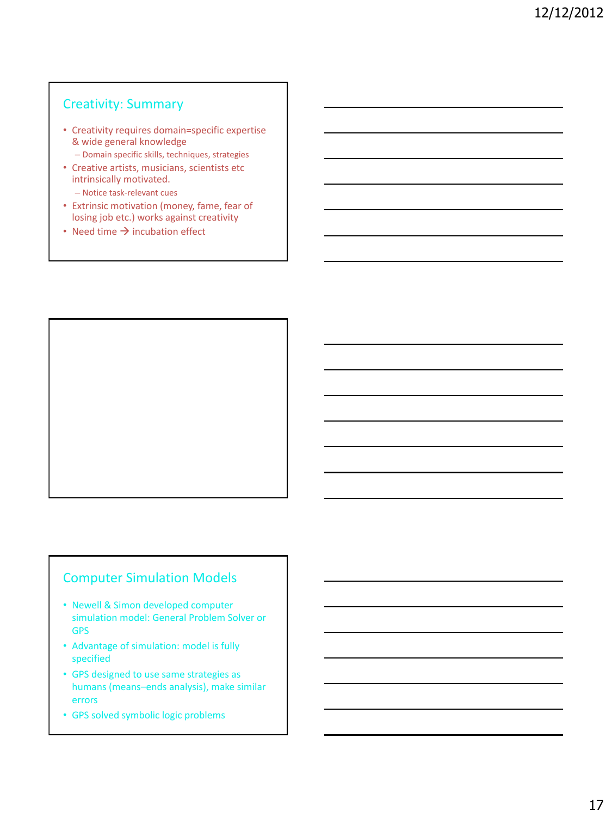### Creativity: Summary

- Creativity requires domain=specific expertise & wide general knowledge
	- Domain specific skills, techniques, strategies
- Creative artists, musicians, scientists etc intrinsically motivated.
	- Notice task-relevant cues
- Extrinsic motivation (money, fame, fear of losing job etc.) works against creativity
- Need time  $\rightarrow$  incubation effect



### Computer Simulation Models

- Newell & Simon developed computer simulation model: General Problem Solver or GPS
- Advantage of simulation: model is fully specified
- GPS designed to use same strategies as humans (means–ends analysis), make similar errors
- GPS solved symbolic logic problems